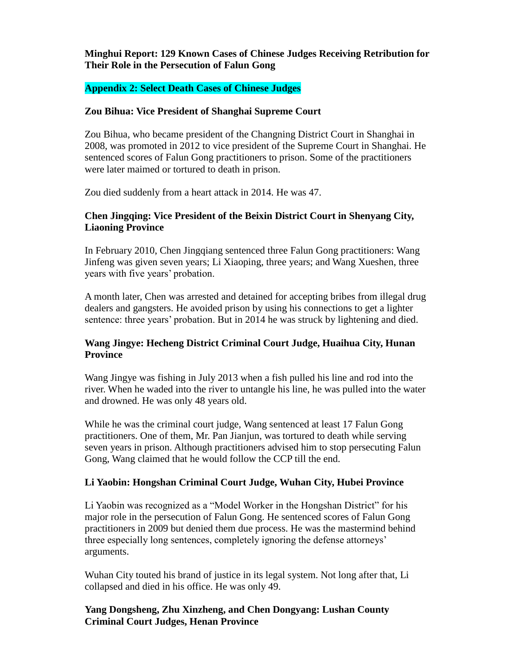## **Minghui Report: 129 Known Cases of Chinese Judges Receiving Retribution for Their Role in the Persecution of Falun Gong**

#### **Appendix 2: Select Death Cases of Chinese Judges**

#### **Zou Bihua: Vice President of Shanghai Supreme Court**

Zou Bihua, who became president of the Changning District Court in Shanghai in 2008, was promoted in 2012 to vice president of the Supreme Court in Shanghai. He sentenced scores of Falun Gong practitioners to prison. Some of the practitioners were later maimed or tortured to death in prison.

Zou died suddenly from a heart attack in 2014. He was 47.

#### **Chen Jingqing: Vice President of the Beixin District Court in Shenyang City, Liaoning Province**

In February 2010, Chen Jingqiang sentenced three Falun Gong practitioners: Wang Jinfeng was given seven years; Li Xiaoping, three years; and Wang Xueshen, three years with five years' probation.

A month later, Chen was arrested and detained for accepting bribes from illegal drug dealers and gangsters. He avoided prison by using his connections to get a lighter sentence: three years' probation. But in 2014 he was struck by lightening and died.

#### **Wang Jingye: Hecheng District Criminal Court Judge, Huaihua City, Hunan Province**

Wang Jingye was fishing in July 2013 when a fish pulled his line and rod into the river. When he waded into the river to untangle his line, he was pulled into the water and drowned. He was only 48 years old.

While he was the criminal court judge, Wang sentenced at least 17 Falun Gong practitioners. One of them, Mr. Pan Jianjun, was tortured to death while serving seven years in prison. Although practitioners advised him to stop persecuting Falun Gong, Wang claimed that he would follow the CCP till the end.

#### **Li Yaobin: Hongshan Criminal Court Judge, Wuhan City, Hubei Province**

Li Yaobin was recognized as a "Model Worker in the Hongshan District" for his major role in the persecution of Falun Gong. He sentenced scores of Falun Gong practitioners in 2009 but denied them due process. He was the mastermind behind three especially long sentences, completely ignoring the defense attorneys' arguments.

Wuhan City touted his brand of justice in its legal system. Not long after that, Li collapsed and died in his office. He was only 49.

#### **Yang Dongsheng, Zhu Xinzheng, and Chen Dongyang: Lushan County Criminal Court Judges, Henan Province**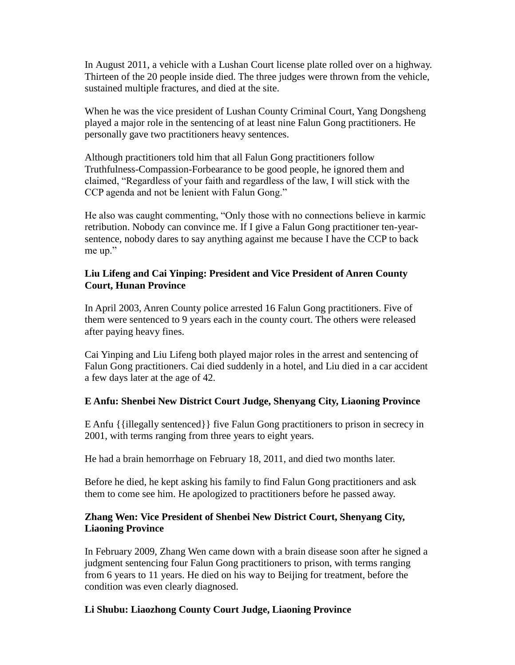In August 2011, a vehicle with a Lushan Court license plate rolled over on a highway. Thirteen of the 20 people inside died. The three judges were thrown from the vehicle, sustained multiple fractures, and died at the site.

When he was the vice president of Lushan County Criminal Court, Yang Dongsheng played a major role in the sentencing of at least nine Falun Gong practitioners. He personally gave two practitioners heavy sentences.

Although practitioners told him that all Falun Gong practitioners follow Truthfulness-Compassion-Forbearance to be good people, he ignored them and claimed, "Regardless of your faith and regardless of the law, I will stick with the CCP agenda and not be lenient with Falun Gong."

He also was caught commenting, "Only those with no connections believe in karmic retribution. Nobody can convince me. If I give a Falun Gong practitioner ten-yearsentence, nobody dares to say anything against me because I have the CCP to back me up."

#### **Liu Lifeng and Cai Yinping: President and Vice President of Anren County Court, Hunan Province**

In April 2003, Anren County police arrested 16 Falun Gong practitioners. Five of them were sentenced to 9 years each in the county court. The others were released after paying heavy fines.

Cai Yinping and Liu Lifeng both played major roles in the arrest and sentencing of Falun Gong practitioners. Cai died suddenly in a hotel, and Liu died in a car accident a few days later at the age of 42.

## **E Anfu: Shenbei New District Court Judge, Shenyang City, Liaoning Province**

E Anfu {{illegally sentenced}} five Falun Gong practitioners to prison in secrecy in 2001, with terms ranging from three years to eight years.

He had a brain hemorrhage on February 18, 2011, and died two months later.

Before he died, he kept asking his family to find Falun Gong practitioners and ask them to come see him. He apologized to practitioners before he passed away.

## **Zhang Wen: Vice President of Shenbei New District Court, Shenyang City, Liaoning Province**

In February 2009, Zhang Wen came down with a brain disease soon after he signed a judgment sentencing four Falun Gong practitioners to prison, with terms ranging from 6 years to 11 years. He died on his way to Beijing for treatment, before the condition was even clearly diagnosed.

## **Li Shubu: Liaozhong County Court Judge, Liaoning Province**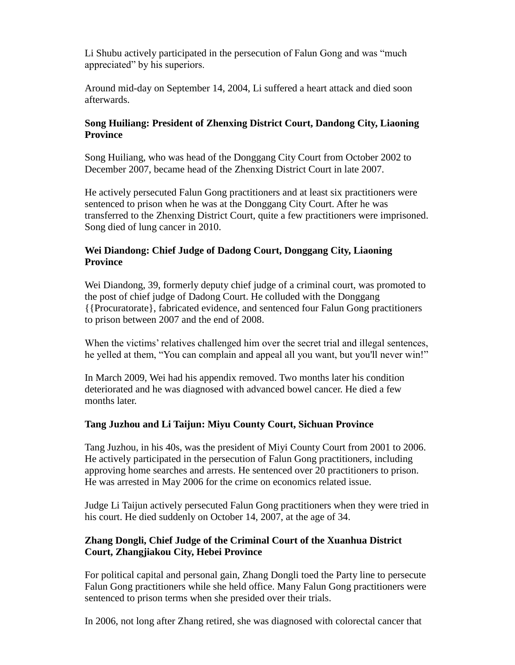Li Shubu actively participated in the persecution of Falun Gong and was "much appreciated" by his superiors.

Around mid-day on September 14, 2004, Li suffered a heart attack and died soon afterwards.

## **Song Huiliang: President of Zhenxing District Court, Dandong City, Liaoning Province**

Song Huiliang, who was head of the Donggang City Court from October 2002 to December 2007, became head of the Zhenxing District Court in late 2007.

He actively persecuted Falun Gong practitioners and at least six practitioners were sentenced to prison when he was at the Donggang City Court. After he was transferred to the Zhenxing District Court, quite a few practitioners were imprisoned. Song died of lung cancer in 2010.

# **Wei Diandong: Chief Judge of Dadong Court, Donggang City, Liaoning Province**

Wei Diandong, 39, formerly deputy chief judge of a criminal court, was promoted to the post of chief judge of Dadong Court. He colluded with the Donggang {{Procuratorate}, fabricated evidence, and sentenced four Falun Gong practitioners to prison between 2007 and the end of 2008.

When the victims' relatives challenged him over the secret trial and illegal sentences, he yelled at them, "You can complain and appeal all you want, but you'll never win!"

In March 2009, Wei had his appendix removed. Two months later his condition deteriorated and he was diagnosed with advanced bowel cancer. He died a few months later.

## **Tang Juzhou and Li Taijun: Miyu County Court, Sichuan Province**

Tang Juzhou, in his 40s, was the president of Miyi County Court from 2001 to 2006. He actively participated in the persecution of Falun Gong practitioners, including approving home searches and arrests. He sentenced over 20 practitioners to prison. He was arrested in May 2006 for the crime on economics related issue.

Judge Li Taijun actively persecuted Falun Gong practitioners when they were tried in his court. He died suddenly on October 14, 2007, at the age of 34.

## **Zhang Dongli, Chief Judge of the Criminal Court of the Xuanhua District Court, Zhangjiakou City, Hebei Province**

For political capital and personal gain, Zhang Dongli toed the Party line to persecute Falun Gong practitioners while she held office. Many Falun Gong practitioners were sentenced to prison terms when she presided over their trials.

In 2006, not long after Zhang retired, she was diagnosed with colorectal cancer that